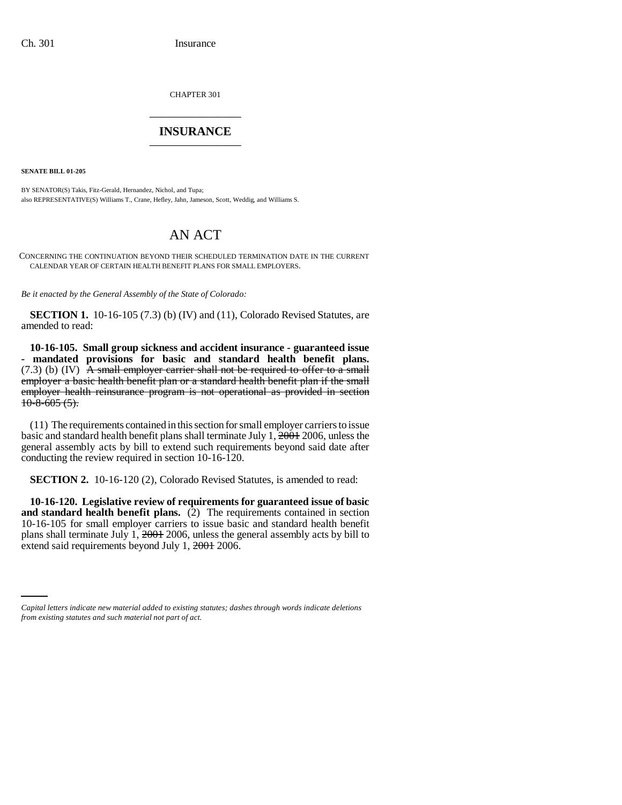CHAPTER 301 \_\_\_\_\_\_\_\_\_\_\_\_\_\_\_

## **INSURANCE** \_\_\_\_\_\_\_\_\_\_\_\_\_\_\_

**SENATE BILL 01-205**

BY SENATOR(S) Takis, Fitz-Gerald, Hernandez, Nichol, and Tupa; also REPRESENTATIVE(S) Williams T., Crane, Hefley, Jahn, Jameson, Scott, Weddig, and Williams S.

## AN ACT

CONCERNING THE CONTINUATION BEYOND THEIR SCHEDULED TERMINATION DATE IN THE CURRENT CALENDAR YEAR OF CERTAIN HEALTH BENEFIT PLANS FOR SMALL EMPLOYERS.

*Be it enacted by the General Assembly of the State of Colorado:*

**SECTION 1.** 10-16-105 (7.3) (b) (IV) and (11), Colorado Revised Statutes, are amended to read:

**10-16-105. Small group sickness and accident insurance - guaranteed issue - mandated provisions for basic and standard health benefit plans.**  $(7.3)$  (b) (IV)  $\overline{A}$  small employer carrier shall not be required to offer to a small employer a basic health benefit plan or a standard health benefit plan if the small employer health reinsurance program is not operational as provided in section  $10-8-605(5)$ .

(11) The requirements contained in this section for small employer carriers to issue basic and standard health benefit plans shall terminate July  $1, \frac{2001}{2006}$ , unless the general assembly acts by bill to extend such requirements beyond said date after conducting the review required in section 10-16-120.

**SECTION 2.** 10-16-120 (2), Colorado Revised Statutes, is amended to read:

extend said requirements beyond July 1, 2001 2006. **10-16-120. Legislative review of requirements for guaranteed issue of basic and standard health benefit plans.** (2) The requirements contained in section 10-16-105 for small employer carriers to issue basic and standard health benefit plans shall terminate July 1, 2001 2006, unless the general assembly acts by bill to

*Capital letters indicate new material added to existing statutes; dashes through words indicate deletions from existing statutes and such material not part of act.*